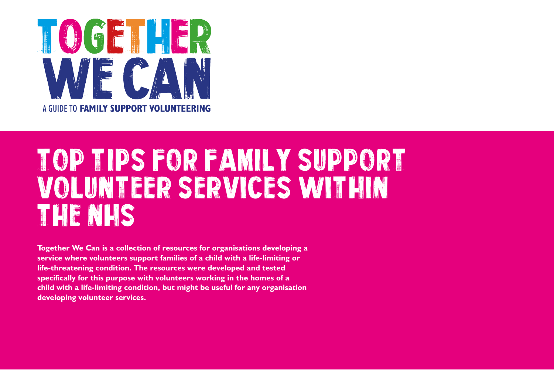

# Top Tips FOR FAMILY SUPPORT VOLUNTEER SERVICES WITHIN THE NHS

**Together We Can is a collection of resources for organisations developing a service where volunteers support families of a child with a life-limiting or life-threatening condition. The resources were developed and tested specifically for this purpose with volunteers working in the homes of a child with a life-limiting condition, but might be useful for any organisation developing volunteer services.**